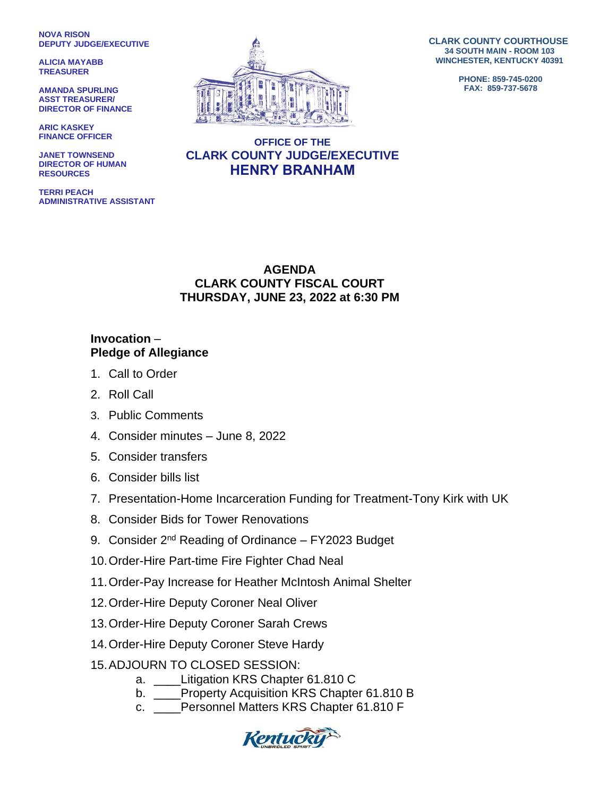**NOVA RISON DEPUTY JUDGE/EXECUTIVE**

**ALICIA MAYABB TREASURER**

**AMANDA SPURLING ASST TREASURER/ DIRECTOR OF FINANCE**

**ARIC KASKEY FINANCE OFFICER**

**JANET TOWNSEND DIRECTOR OF HUMAN RESOURCES**

**TERRI PEACH ADMINISTRATIVE ASSISTANT**



**CLARK COUNTY COURTHOUSE 34 SOUTH MAIN - ROOM 103 WINCHESTER, KENTUCKY 40391**

> **PHONE: 859-745-0200 FAX: 859-737-5678**

## **OFFICE OF THE CLARK COUNTY JUDGE/EXECUTIVE HENRY BRANHAM**

## **AGENDA CLARK COUNTY FISCAL COURT THURSDAY, JUNE 23, 2022 at 6:30 PM**

## **Invocation** – **Pledge of Allegiance**

- 1. Call to Order
- 2. Roll Call
- 3. Public Comments
- 4. Consider minutes June 8, 2022
- 5. Consider transfers
- 6. Consider bills list
- 7. Presentation-Home Incarceration Funding for Treatment-Tony Kirk with UK
- 8. Consider Bids for Tower Renovations
- 9. Consider 2<sup>nd</sup> Reading of Ordinance FY2023 Budget
- 10.Order-Hire Part-time Fire Fighter Chad Neal
- 11.Order-Pay Increase for Heather McIntosh Animal Shelter
- 12.Order-Hire Deputy Coroner Neal Oliver
- 13.Order-Hire Deputy Coroner Sarah Crews
- 14.Order-Hire Deputy Coroner Steve Hardy
- 15.ADJOURN TO CLOSED SESSION:
	- a. \_\_\_\_Litigation KRS Chapter 61.810 C
	- b. \_\_\_\_Property Acquisition KRS Chapter 61.810 B
	- c. \_\_\_\_Personnel Matters KRS Chapter 61.810 F